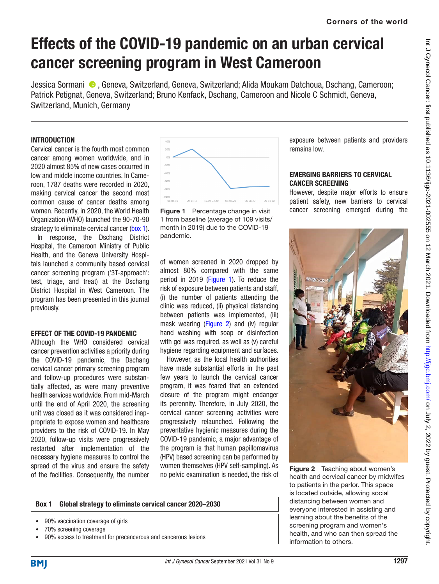exposure between patients and providers

However, despite major efforts to ensure patient safety, new barriers to cervical cancer screening emerged during the

EMERGING BARRIERS TO CERVICAL

remains low.

CANCER SCREENING

# Effects of the COVID-19 pandemic on an urban cervical cancer screening program in West Cameroon

JessicaSormani <sup>®</sup>, Geneva, Switzerland, Geneva, Switzerland; Alida Moukam Datchoua, Dschang, Cameroon; Patrick Petignat, Geneva, Switzerland; Bruno Kenfack, Dschang, Cameroon and Nicole C Schmidt, Geneva, Switzerland, Munich, Germany

# **INTRODUCTION**

Cervical cancer is the fourth most common cancer among women worldwide, and in 2020 almost 85% of new cases occurred in low and middle income countries. In Cameroon, 1787 deaths were recorded in 2020, making cervical cancer the second most common cause of cancer deaths among women. Recently, in 2020, the World Health Organization (WHO) launched the 90-70-90 strategy to eliminate cervical cancer [\(box 1\)](#page-0-0). In response, the Dschang District Hospital, the Cameroon Ministry of Public Health, and the Geneva University Hospitals launched a community based cervical cancer screening program ('3T-approach': test, triage, and treat) at the Dschang District Hospital in West Cameroon. The program has been presented in this journal previously.

## EFFECT OF THE COVID-19 PANDEMIC

Although the WHO considered cervical cancer prevention activities a priority during the COVID-19 pandemic, the Dschang cervical cancer primary screening program and follow-up procedures were substantially affected, as were many preventive health services worldwide. From mid-March until the end of April 2020, the screening unit was closed as it was considered inappropriate to expose women and healthcare providers to the risk of COVID-19. In May 2020, follow-up visits were progressively restarted after implementation of the necessary hygiene measures to control the spread of the virus and ensure the safety of the facilities. Consequently, the number



<span id="page-0-1"></span>Figure 1 Percentage change in visit 1 from baseline (average of 109 visits/ month in 2019) due to the COVID-19 pandemic.

of women screened in 2020 dropped by almost 80% compared with the same period in 2019 [\(Figure 1\)](#page-0-1). To reduce the risk of exposure between patients and staff, (i) the number of patients attending the clinic was reduced, (ii) physical distancing between patients was implemented, (iii) mask wearing (Figure 2) and (iv) regular hand washing with soap or disinfection with gel was required, as well as (v) careful hygiene regarding equipment and surfaces.

However, as the local health authorities have made substantial efforts in the past few years to launch the cervical cancer program, it was feared that an extended closure of the program might endanger its perennity. Therefore, in July 2020, the cervical cancer screening activities were progressively relaunched. Following the preventative hygienic measures during the COVID-19 pandemic, a major advantage of the program is that human papillomavirus (HPV) based screening can be performed by women themselves (HPV self-sampling). As no pelvic examination is needed, the risk of

#### Box 1 Global strategy to eliminate cervical cancer 2020–2030

- <span id="page-0-0"></span>• 90% vaccination coverage of girls
- 70% screening coverage
- 90% access to treatment for precancerous and cancerous lesions

<span id="page-0-2"></span>Figure 2 Teaching about women's health and cervical cancer by midwifes to patients in the parlor. This space is located outside, allowing social distancing between women and everyone interested in assisting and learning about the benefits of the screening program and women's health, and who can then spread the information to others.